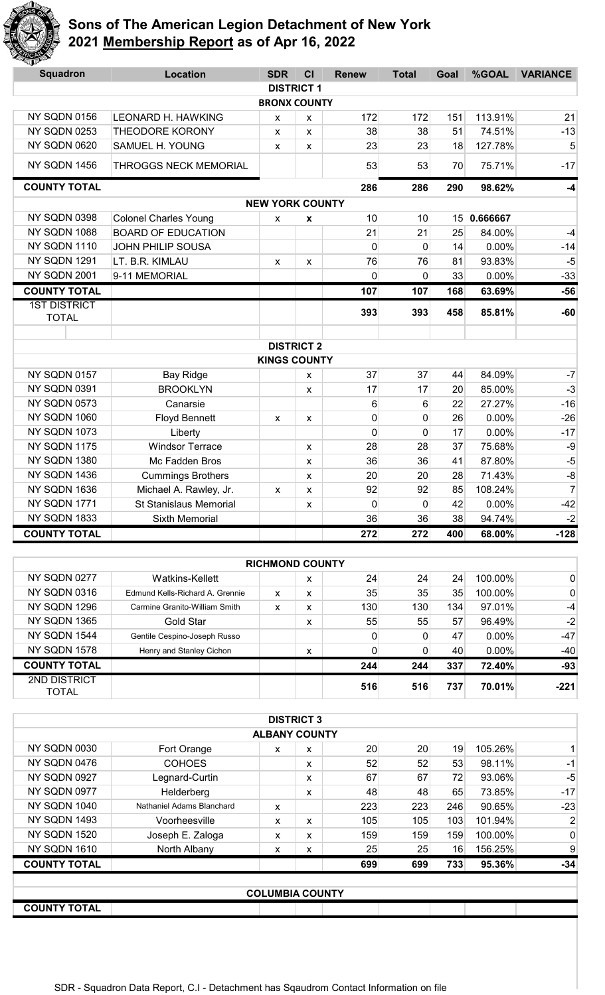

| <b>Squadron</b>                     | <b>Location</b>               | <b>SDR</b>             | CI | <b>Renew</b> | <b>Total</b> | Goal | %GOAL    | <b>VARIANCE</b> |
|-------------------------------------|-------------------------------|------------------------|----|--------------|--------------|------|----------|-----------------|
|                                     |                               | <b>DISTRICT 1</b>      |    |              |              |      |          |                 |
|                                     |                               | <b>BRONX COUNTY</b>    |    |              |              |      |          |                 |
| NY SQDN 0156                        | <b>LEONARD H. HAWKING</b>     | X                      | x  | 172          | 172          | 151  | 113.91%  | 21              |
| NY SQDN 0253                        | <b>THEODORE KORONY</b>        | X                      | X  | 38           | 38           | 51   | 74.51%   | $-13$           |
| NY SQDN 0620                        | SAMUEL H. YOUNG               | X                      | X  | 23           | 23           | 18   | 127.78%  | 5               |
| NY SQDN 1456                        | <b>THROGGS NECK MEMORIAL</b>  |                        |    | 53           | 53           | 70   | 75.71%   | $-17$           |
| <b>COUNTY TOTAL</b>                 |                               |                        |    | 286          | 286          | 290  | 98.62%   | $-4$            |
|                                     |                               | <b>NEW YORK COUNTY</b> |    |              |              |      |          |                 |
| NY SQDN 0398                        | <b>Colonel Charles Young</b>  | X                      | X  | 10           | 10           | 15   | 0.666667 |                 |
| NY SQDN 1088                        | <b>BOARD OF EDUCATION</b>     |                        |    | 21           | 21           | 25   | 84.00%   | $-4$            |
| NY SQDN 1110                        | JOHN PHILIP SOUSA             |                        |    | $\mathbf 0$  | $\mathbf{0}$ | 14   | 0.00%    | $-14$           |
| NY SQDN 1291                        | LT. B.R. KIMLAU               | X                      | X  | 76           | 76           | 81   | 93.83%   | $-5$            |
| NY SQDN 2001                        | 9-11 MEMORIAL                 |                        |    | $\mathbf{0}$ | 0            | 33   | 0.00%    | $-33$           |
| <b>COUNTY TOTAL</b>                 |                               |                        |    | 107          | 107          | 168  | 63.69%   | $-56$           |
| <b>1ST DISTRICT</b><br><b>TOTAL</b> |                               |                        |    | 393          | 393          | 458  | 85.81%   | $-60$           |
|                                     |                               |                        |    |              |              |      |          |                 |
|                                     |                               | <b>DISTRICT 2</b>      |    |              |              |      |          |                 |
|                                     |                               | <b>KINGS COUNTY</b>    |    |              |              |      |          |                 |
| NY SQDN 0157                        | <b>Bay Ridge</b>              |                        | X  | 37           | 37           | 44   | 84.09%   | $-7$            |
| NY SQDN 0391                        | <b>BROOKLYN</b>               |                        | X  | 17           | 17           | 20   | 85.00%   | $-3$            |
| NY SQDN 0573                        | Canarsie                      |                        |    | 6            | 6            | 22   | 27.27%   | $-16$           |
| NY SQDN 1060                        | <b>Floyd Bennett</b>          | X                      | X  | 0            | 0            | 26   | 0.00%    | $-26$           |
| NY SQDN 1073                        | Liberty                       |                        |    | $\mathbf 0$  | $\mathbf 0$  | 17   | 0.00%    | $-17$           |
| NY SQDN 1175                        | <b>Windsor Terrace</b>        |                        | X  | 28           | 28           | 37   | 75.68%   | $-9$            |
| NY SQDN 1380                        | Mc Fadden Bros                |                        | X  | 36           | 36           | 41   | 87.80%   | $-5$            |
| NY SQDN 1436                        | <b>Cummings Brothers</b>      |                        | X  | 20           | 20           | 28   | 71.43%   | $-8$            |
| NY SQDN 1636                        | Michael A. Rawley, Jr.        | X                      | X  | 92           | 92           | 85   | 108.24%  | $\overline{7}$  |
| NY SQDN 1771                        | <b>St Stanislaus Memorial</b> |                        | X  | $\mathbf 0$  | $\mathbf 0$  | 42   | 0.00%    | $-42$           |
| NY SQDN 1833                        | Sixth Memorial                |                        |    | 36           | 36           | 38   | 94.74%   | $-2$            |
| <b>COUNTY TOTAL</b>                 |                               |                        |    | 272          | 272          | 400  | 68.00%   | $-128$          |

|                       |                                 | <b>RICHMOND COUNTY</b> |   |     |     |     |          |              |
|-----------------------|---------------------------------|------------------------|---|-----|-----|-----|----------|--------------|
| <b>NY SQDN 0277</b>   | Watkins-Kellett                 |                        | X | 24  | 24  | 24  | 100.00%  | 0            |
| <b>NY SQDN 0316</b>   | Edmund Kells-Richard A. Grennie | x                      | x | 35  | 35  | 35  | 100.00%  | $\mathbf{0}$ |
| <b>NY SQDN 1296</b>   | Carmine Granito-William Smith   | x                      | x | 130 | 130 | 134 | 97.01%   | $-4$         |
| <b>NY SQDN 1365</b>   | Gold Star                       |                        | x | 55  | 55  | 57  | 96.49%   | $-2$         |
| <b>NY SQDN 1544</b>   | Gentile Cespino-Joseph Russo    |                        |   | 0   | 0   | 47  | $0.00\%$ | $-47$        |
| <b>NY SQDN 1578</b>   | Henry and Stanley Cichon        |                        | x | 0   | 0   | 40  | $0.00\%$ | $-40$        |
| <b>COUNTY TOTAL</b>   |                                 |                        |   | 244 | 244 | 337 | 72.40%   | $-93$        |
| 2ND DISTRICT<br>TOTAL |                                 |                        |   | 516 | 516 | 737 | 70.01%   | $-221$       |

|                     |                           |                      | <b>DISTRICT 3</b> |     |                 |     |         |              |
|---------------------|---------------------------|----------------------|-------------------|-----|-----------------|-----|---------|--------------|
|                     |                           | <b>ALBANY COUNTY</b> |                   |     |                 |     |         |              |
| <b>NY SQDN 0030</b> | Fort Orange               | x                    | x                 | 20  | 20 <sup>2</sup> | 19  | 105.26% | 11           |
| NY SQDN 0476        | <b>COHOES</b>             |                      | x                 | 52  | 52              | 53  | 98.11%  | $-1$         |
| <b>NY SQDN 0927</b> | Legnard-Curtin            |                      | x                 | 67  | 67              | 72  | 93.06%  | -5           |
| NY SQDN 0977        | Helderberg                |                      | x                 | 48  | 48              | 65  | 73.85%  | $-17$        |
| <b>NY SQDN 1040</b> | Nathaniel Adams Blanchard | x                    |                   | 223 | 223             | 246 | 90.65%  | $-23$        |
| <b>NY SQDN 1493</b> | Voorheesville             | x                    | X                 | 105 | 105             | 103 | 101.94% | $\mathbf{2}$ |
| <b>NY SQDN 1520</b> | Joseph E. Zaloga          | x                    | x                 | 159 | 159             | 159 | 100.00% | 0            |
| <b>NY SQDN 1610</b> | North Albany              | x                    | x                 | 25  | 25              | 16  | 156.25% | 9            |
| <b>COUNTY TOTAL</b> |                           |                      |                   | 699 | 699             | 733 | 95.36%  | $-34$        |
|                     |                           |                      |                   |     |                 |     |         |              |
|                     | COLUMBIA COUNTY           |                      |                   |     |                 |     |         |              |

**COUNTY TOTAL**

**COLUMBIA COUNTY**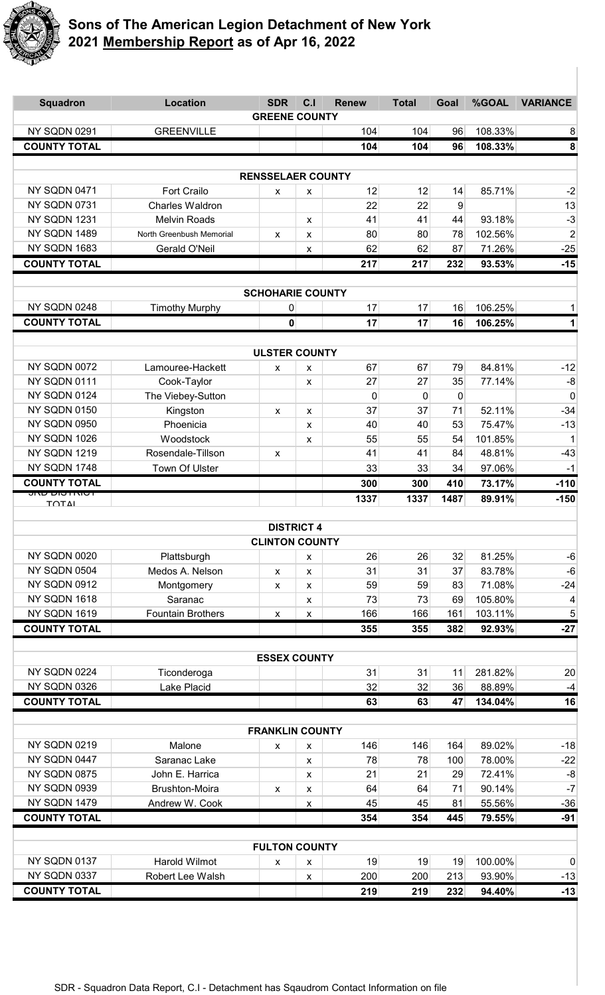

| <b>Squadron</b>                        | <b>Location</b>                          | <b>SDR</b><br><b>GREENE COUNTY</b> | C <sub>1</sub>    | <b>Renew</b> | <b>Total</b> | Goal        | %GOAL            | <b>VARIANCE</b> |
|----------------------------------------|------------------------------------------|------------------------------------|-------------------|--------------|--------------|-------------|------------------|-----------------|
| NY SQDN 0291                           | <b>GREENVILLE</b>                        |                                    |                   | 104          | 104          | 96          | 108.33%          | 8               |
| <b>COUNTY TOTAL</b>                    |                                          |                                    |                   | 104          | 104          | 96          | 108.33%          | 8               |
|                                        |                                          |                                    |                   |              |              |             |                  |                 |
|                                        |                                          | <b>RENSSELAER COUNTY</b>           |                   |              |              |             |                  |                 |
| NY SQDN 0471                           | <b>Fort Crailo</b>                       | X                                  | X                 | 12           | 12           | 14          | 85.71%           | $-2$            |
| NY SQDN 0731                           | <b>Charles Waldron</b>                   |                                    |                   | 22           | 22           | 9           |                  | 13              |
| NY SQDN 1231                           | <b>Melvin Roads</b>                      |                                    | X                 | 41           | 41           | 44          | 93.18%           | $-3$            |
| NY SQDN 1489                           | North Greenbush Memorial                 | X                                  | $\pmb{\chi}$      | 80           | 80           | 78          | 102.56%          | $\overline{2}$  |
| NY SQDN 1683                           | Gerald O'Neil                            |                                    | X                 | 62           | 62           | 87          | 71.26%           | $-25$           |
| <b>COUNTY TOTAL</b>                    |                                          |                                    |                   | 217          | 217          | 232         | 93.53%           | $-15$           |
|                                        |                                          |                                    |                   |              |              |             |                  |                 |
|                                        |                                          | <b>SCHOHARIE COUNTY</b>            |                   |              |              |             |                  |                 |
| NY SQDN 0248                           | <b>Timothy Murphy</b>                    | 0                                  |                   | 17           | 17           | 16          | 106.25%          | 1               |
| <b>COUNTY TOTAL</b>                    |                                          | $\mathbf{0}$                       |                   | 17           | 17           | 16          | 106.25%          | 1               |
|                                        |                                          |                                    |                   |              |              |             |                  |                 |
|                                        |                                          | <b>ULSTER COUNTY</b>               |                   |              |              |             |                  |                 |
| NY SQDN 0072                           | Lamouree-Hackett                         | X                                  | $\pmb{\chi}$      | 67           | 67           | 79          | 84.81%           | $-12$           |
| NY SQDN 0111                           | Cook-Taylor                              |                                    | $\pmb{\chi}$      | 27           | 27           | 35          | 77.14%           | -8              |
| NY SQDN 0124                           | The Viebey-Sutton                        |                                    |                   | 0            | $\Omega$     | $\mathbf 0$ |                  | $\mathbf 0$     |
| NY SQDN 0150                           | Kingston                                 | $\pmb{\chi}$                       | X                 | 37           | 37           | 71          | 52.11%           | $-34$           |
| NY SQDN 0950                           | Phoenicia                                |                                    | $\pmb{\chi}$      | 40           | 40           | 53          | 75.47%           | $-13$           |
| NY SQDN 1026                           | Woodstock                                |                                    | X                 | 55           | 55           | 54          | 101.85%          | 1               |
| NY SQDN 1219                           | Rosendale-Tillson                        | $\pmb{\chi}$                       |                   | 41           | 41           | 84          | 48.81%           | $-43$           |
| NY SQDN 1748                           | Town Of Ulster                           |                                    |                   | 33           | 33           | 34          | 97.06%           | $-1$            |
| <b>COUNTY TOTAL</b><br>ו טורו טוע ערוט |                                          |                                    |                   | 300          | 300          | 410         | 73.17%           | $-110$          |
| <b>TOTAL</b>                           |                                          |                                    |                   | 1337         | 1337         | 1487        | 89.91%           | $-150$          |
|                                        |                                          | <b>DISTRICT 4</b>                  |                   |              |              |             |                  |                 |
|                                        |                                          | <b>CLINTON COUNTY</b>              |                   |              |              |             |                  |                 |
| NY SQDN 0020                           | Plattsburgh                              |                                    | X                 | 26           | 26           | 32          | 81.25%           | $-6$            |
| NY SQDN 0504                           | Medos A. Nelson                          | X                                  | X                 | 31           | 31           | 37          | 83.78%           | $-6$            |
| NY SQDN 0912                           | Montgomery                               | X                                  | X                 | 59           | 59           | 83          | 71.08%           | $-24$           |
| NY SQDN 1618                           | Saranac                                  |                                    | $\pmb{\chi}$      | 73           | 73           | 69          | 105.80%          | 4               |
| NY SQDN 1619                           | <b>Fountain Brothers</b>                 | X                                  | $\pmb{\chi}$      | 166          | 166          | 161         | 103.11%          | 5               |
| <b>COUNTY TOTAL</b>                    |                                          |                                    |                   | 355          | 355          | 382         | 92.93%           | $-27$           |
|                                        |                                          |                                    |                   |              |              |             |                  |                 |
|                                        |                                          | <b>ESSEX COUNTY</b>                |                   |              |              |             |                  |                 |
| NY SQDN 0224                           | Ticonderoga                              |                                    |                   | 31           | 31           | 11          | 281.82%          | 20              |
| NY SQDN 0326                           | Lake Placid                              |                                    |                   | 32           | 32           | 36          | 88.89%           | $-4$            |
| <b>COUNTY TOTAL</b>                    |                                          |                                    |                   | 63           | 63           | 47          | 134.04%          | 16              |
|                                        |                                          |                                    |                   |              |              |             |                  |                 |
|                                        |                                          | <b>FRANKLIN COUNTY</b>             |                   |              |              |             |                  |                 |
| NY SQDN 0219                           | Malone                                   | X                                  | X                 | 146          | 146          | 164         | 89.02%           | $-18$           |
| NY SQDN 0447<br>NY SQDN 0875           | Saranac Lake                             |                                    | $\pmb{\chi}$      | 78           | 78           | 100         | 78.00%           | $-22$           |
| NY SQDN 0939                           | John E. Harrica<br><b>Brushton-Moira</b> |                                    | $\pmb{\chi}$      | 21<br>64     | 21<br>64     | 29<br>71    | 72.41%<br>90.14% | $-8$<br>$-7$    |
| NY SQDN 1479                           | Andrew W. Cook                           | $\boldsymbol{\mathsf{X}}$          | X<br>$\pmb{\chi}$ | 45           | 45           | 81          | 55.56%           | $-36$           |
| <b>COUNTY TOTAL</b>                    |                                          |                                    |                   | 354          | 354          | 445         | 79.55%           | $-91$           |
|                                        |                                          |                                    |                   |              |              |             |                  |                 |
|                                        |                                          | <b>FULTON COUNTY</b>               |                   |              |              |             |                  |                 |
| NY SQDN 0137                           | Harold Wilmot                            | x                                  | $\pmb{\chi}$      | 19           | 19           | 19          | 100.00%          | $\mathbf 0$     |
| NY SQDN 0337                           | Robert Lee Walsh                         |                                    | X                 | 200          | 200          | 213         | 93.90%           | $-13$           |
| <b>COUNTY TOTAL</b>                    |                                          |                                    |                   | 219          | 219          | 232         | 94.40%           | $-13$           |
|                                        |                                          |                                    |                   |              |              |             |                  |                 |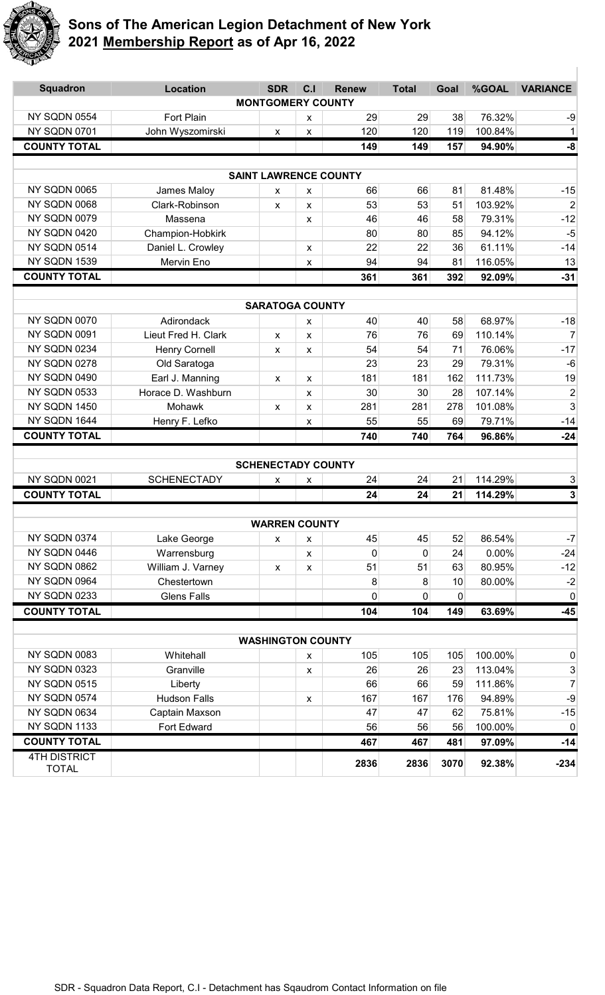

| <b>Squadron</b>                     | <b>Location</b>      | <b>SDR</b>                   | C <sub>1</sub> | <b>Renew</b> | <b>Total</b>   | Goal | %GOAL   | <b>VARIANCE</b> |
|-------------------------------------|----------------------|------------------------------|----------------|--------------|----------------|------|---------|-----------------|
|                                     |                      | <b>MONTGOMERY COUNTY</b>     |                |              |                |      |         |                 |
| NY SQDN 0554                        | <b>Fort Plain</b>    |                              | X              | 29           | 29             | 38   | 76.32%  | $-9$            |
| NY SQDN 0701                        | John Wyszomirski     | $\pmb{\mathsf{X}}$           | X              | 120          | 120            | 119  | 100.84% | 1               |
| <b>COUNTY TOTAL</b>                 |                      |                              |                | 149          | 149            | 157  | 94.90%  | -8              |
|                                     |                      |                              |                |              |                |      |         |                 |
|                                     |                      | <b>SAINT LAWRENCE COUNTY</b> |                |              |                |      |         |                 |
| NY SQDN 0065                        | James Maloy          | X                            | x              | 66           | 66             | 81   | 81.48%  | $-15$           |
| NY SQDN 0068                        | Clark-Robinson       | X                            | X              | 53           | 53             | 51   | 103.92% | $\overline{2}$  |
| NY SQDN 0079                        | Massena              |                              | X              | 46           | 46             | 58   | 79.31%  | $-12$           |
| NY SQDN 0420                        | Champion-Hobkirk     |                              |                | 80           | 80             | 85   | 94.12%  | $-5$            |
| NY SQDN 0514                        | Daniel L. Crowley    |                              | X              | 22           | 22             | 36   | 61.11%  | $-14$           |
| NY SQDN 1539                        | Mervin Eno           |                              | X              | 94           | 94             | 81   | 116.05% | 13              |
| <b>COUNTY TOTAL</b>                 |                      |                              |                | 361          | 361            | 392  | 92.09%  | $-31$           |
|                                     |                      | <b>SARATOGA COUNTY</b>       |                |              |                |      |         |                 |
| NY SQDN 0070                        | Adirondack           |                              | X              | 40           | 40             | 58   | 68.97%  | $-18$           |
| NY SQDN 0091                        | Lieut Fred H. Clark  | <b>X</b>                     | X              | 76           | 76             | 69   | 110.14% | $\overline{7}$  |
| NY SQDN 0234                        | <b>Henry Cornell</b> | x                            | X              | 54           | 54             | 71   | 76.06%  | $-17$           |
| NY SQDN 0278                        | Old Saratoga         |                              |                | 23           | 23             | 29   | 79.31%  | $-6$            |
| NY SQDN 0490                        | Earl J. Manning      | X                            | X              | 181          | 181            | 162  | 111.73% | 19              |
| NY SQDN 0533                        | Horace D. Washburn   |                              | X              | 30           | 30             | 28   | 107.14% | $\overline{c}$  |
| NY SQDN 1450                        | Mohawk               | X                            | X              | 281          | 281            | 278  | 101.08% | 3               |
| NY SQDN 1644                        | Henry F. Lefko       |                              | X              | 55           | 55             | 69   | 79.71%  | $-14$           |
| <b>COUNTY TOTAL</b>                 |                      |                              |                | 740          | 740            | 764  | 96.86%  | $-24$           |
|                                     |                      |                              |                |              |                |      |         |                 |
|                                     |                      | <b>SCHENECTADY COUNTY</b>    |                |              |                |      |         |                 |
| NY SQDN 0021                        | <b>SCHENECTADY</b>   | x                            | X              | 24           | 24             | 21   | 114.29% | 3               |
| <b>COUNTY TOTAL</b>                 |                      |                              |                | 24           | 24             | 21   | 114.29% | $\mathbf{3}$    |
|                                     |                      | <b>WARREN COUNTY</b>         |                |              |                |      |         |                 |
| NY SQDN 0374                        | Lake George          | x                            | x              | 45           | 45             | 52   | 86.54%  | $-7$            |
| NY SQDN 0446                        | Warrensburg          |                              | X              | $\mathbf{0}$ | $\Omega$       | 24   | 0.00%   | $-24$           |
| NY SQDN 0862                        | William J. Varney    | $\pmb{\chi}$                 | X              | 51           | 51             | 63   | 80.95%  | $-12$           |
| NY SQDN 0964                        | Chestertown          |                              |                | 8            | 8              | 10   | 80.00%  | $-2$            |
| NY SQDN 0233                        | <b>Glens Falls</b>   |                              |                | 0            | $\overline{0}$ | 0    |         | $\mathbf 0$     |
| <b>COUNTY TOTAL</b>                 |                      |                              |                | 104          | 104            | 149  | 63.69%  | $-45$           |
|                                     |                      |                              |                |              |                |      |         |                 |
|                                     |                      | <b>WASHINGTON COUNTY</b>     |                |              |                |      |         |                 |
| NY SQDN 0083                        | Whitehall            |                              | X              | 105          | 105            | 105  | 100.00% | 0               |
| NY SQDN 0323                        | Granville            |                              | X              | 26           | 26             | 23   | 113.04% | $\frac{3}{7}$   |
| NY SQDN 0515                        | Liberty              |                              |                | 66           | 66             | 59   | 111.86% |                 |
| NY SQDN 0574                        | <b>Hudson Falls</b>  |                              | X              | 167          | 167            | 176  | 94.89%  | -9              |
| NY SQDN 0634                        | Captain Maxson       |                              |                | 47           | 47             | 62   | 75.81%  | $-15$           |
| NY SQDN 1133                        | Fort Edward          |                              |                | 56           | 56             | 56   | 100.00% | $\mathbf 0$     |
| <b>COUNTY TOTAL</b>                 |                      |                              |                | 467          | 467            | 481  | 97.09%  | $-14$           |
| <b>4TH DISTRICT</b><br><b>TOTAL</b> |                      |                              |                | 2836         | 2836           | 3070 | 92.38%  | $-234$          |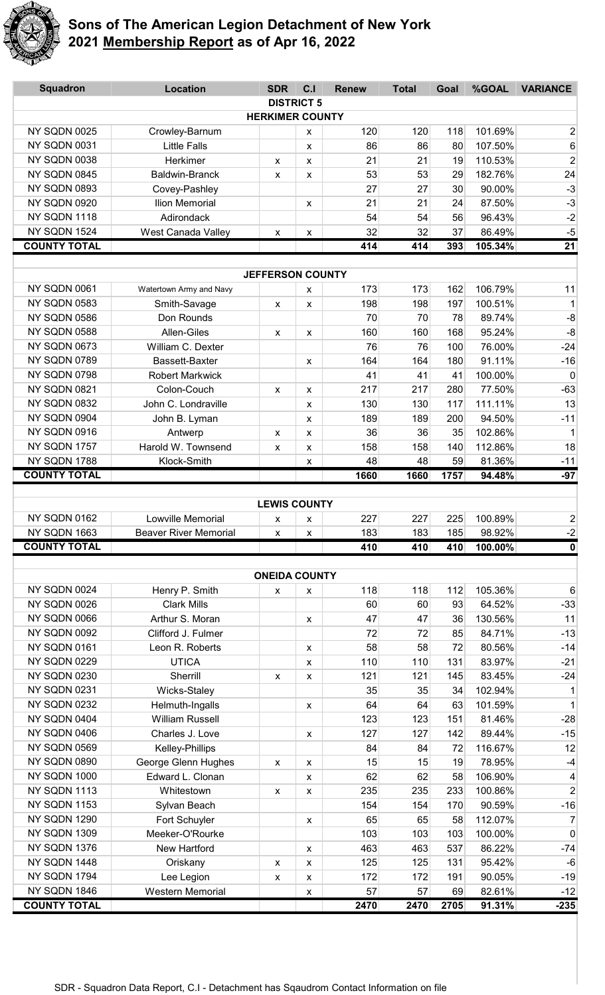

| <b>Squadron</b>                     | <b>Location</b>              | <b>SDR</b>                | C.I               | <b>Renew</b> | <b>Total</b> | Goal       | %GOAL             | <b>VARIANCE</b>     |
|-------------------------------------|------------------------------|---------------------------|-------------------|--------------|--------------|------------|-------------------|---------------------|
|                                     |                              |                           | <b>DISTRICT 5</b> |              |              |            |                   |                     |
|                                     |                              | <b>HERKIMER COUNTY</b>    |                   |              |              |            |                   |                     |
| NY SQDN 0025                        | Crowley-Barnum               |                           | x                 | 120          | 120          | 118        | 101.69%           | $\overline{2}$      |
| NY SQDN 0031                        | <b>Little Falls</b>          |                           | X                 | 86           | 86           | 80         | 107.50%           | 6                   |
| NY SQDN 0038                        | Herkimer                     | X                         | X                 | 21           | 21           | 19         | 110.53%           | $\overline{2}$      |
| NY SQDN 0845                        | <b>Baldwin-Branck</b>        | X                         | x                 | 53           | 53           | 29         | 182.76%           | 24                  |
| NY SQDN 0893                        | Covey-Pashley                |                           |                   | 27           | 27           | 30         | 90.00%            | $-3$                |
| NY SQDN 0920                        | Ilion Memorial               |                           | X                 | 21           | 21           | 24         | 87.50%            | $-3$                |
| NY SQDN 1118                        | Adirondack                   |                           |                   | 54           | 54           | 56         | 96.43%            | $-2$                |
| NY SQDN 1524<br><b>COUNTY TOTAL</b> | West Canada Valley           | $\pmb{\mathsf{X}}$        | X                 | 32<br>414    | 32<br>414    | 37         | 86.49%            | $-5$                |
|                                     |                              |                           |                   |              |              | 393        | 105.34%           | 21                  |
|                                     |                              | <b>JEFFERSON COUNTY</b>   |                   |              |              |            |                   |                     |
| NY SQDN 0061                        | Watertown Army and Navy      |                           | X                 | 173          | 173          | 162        | 106.79%           | 11                  |
| NY SQDN 0583                        | Smith-Savage                 | X                         | X                 | 198          | 198          | 197        | 100.51%           | $\mathbf{1}$        |
| <b>NY SQDN 0586</b>                 | Don Rounds                   |                           |                   | 70           | 70           | 78         | 89.74%            | $-8$                |
| NY SQDN 0588                        | Allen-Giles                  | X                         | X                 | 160          | 160          | 168        | 95.24%            | $-8$                |
| NY SQDN 0673                        | William C. Dexter            |                           |                   | 76           | 76           | 100        | 76.00%            | $-24$               |
| NY SQDN 0789                        | Bassett-Baxter               |                           | X                 | 164          | 164          | 180        | 91.11%            | $-16$               |
| NY SQDN 0798                        | <b>Robert Markwick</b>       |                           |                   | 41           | 41           | 41         | 100.00%           | $\pmb{0}$           |
| NY SQDN 0821                        | Colon-Couch                  | $\mathsf{x}$              | X                 | 217          | 217          | 280        | 77.50%            | $-63$               |
| NY SQDN 0832                        | John C. Londraville          |                           | X                 | 130          | 130          | 117        | 111.11%           | 13                  |
| NY SQDN 0904                        | John B. Lyman                |                           | X                 | 189          | 189          | 200        | 94.50%            | $-11$               |
| NY SQDN 0916                        | Antwerp                      | X                         | X                 | 36           | 36           | 35         | 102.86%           | $\mathbf{1}$        |
| NY SQDN 1757                        | Harold W. Townsend           | X                         | X                 | 158          | 158          | 140        | 112.86%           | 18                  |
| NY SQDN 1788                        | Klock-Smith                  |                           | X                 | 48           | 48           | 59         | 81.36%            | $-11$               |
| <b>COUNTY TOTAL</b>                 |                              |                           |                   | 1660         | 1660         | 1757       | 94.48%            | $-97$               |
|                                     |                              |                           |                   |              |              |            |                   |                     |
|                                     |                              | <b>LEWIS COUNTY</b>       |                   |              |              |            |                   |                     |
| <b>NY SQDN 0162</b>                 | Lowville Memorial            | x                         | X                 | 227          | 227          | 225        | 100.89%           | $\overline{2}$      |
| NY SQDN 1663<br><b>COUNTY TOTAL</b> | <b>Beaver River Memorial</b> | x                         | X                 | 183<br>410   | 183<br>410   | 185<br>410 | 98.92%<br>100.00% | $-2$<br>$\mathbf 0$ |
|                                     |                              |                           |                   |              |              |            |                   |                     |
|                                     |                              | <b>ONEIDA COUNTY</b>      |                   |              |              |            |                   |                     |
| NY SQDN 0024                        | Henry P. Smith               | $\boldsymbol{\mathsf{X}}$ | x                 | 118          | 118          | 112        | 105.36%           | $\,6$               |
| NY SQDN 0026                        | <b>Clark Mills</b>           |                           |                   | 60           | 60           | 93         | 64.52%            | $-33$               |
| NY SQDN 0066                        | Arthur S. Moran              |                           | x                 | 47           | 47           | 36         | 130.56%           | 11                  |
| NY SQDN 0092                        | Clifford J. Fulmer           |                           |                   | 72           | 72           | 85         | 84.71%            | $-13$               |
| NY SQDN 0161                        | Leon R. Roberts              |                           | x                 | 58           | 58           | 72         | 80.56%            | $-14$               |
| NY SQDN 0229                        | <b>UTICA</b>                 |                           | x                 | 110          | 110          | 131        | 83.97%            | $-21$               |
| NY SQDN 0230                        | Sherrill                     | X                         | X                 | 121          | 121          | 145        | 83.45%            | $-24$               |
| NY SQDN 0231                        | Wicks-Staley                 |                           |                   | 35           | 35           | 34         | 102.94%           | $\mathbf{1}$        |
| NY SQDN 0232                        | Helmuth-Ingalls              |                           | x                 | 64           | 64           | 63         | 101.59%           | $\mathbf{1}$        |
| NY SQDN 0404                        | <b>William Russell</b>       |                           |                   | 123          | 123          | 151        | 81.46%            | $-28$               |
| NY SQDN 0406                        | Charles J. Love              |                           | x                 | 127          | 127          | 142        | 89.44%            | $-15$               |
| NY SQDN 0569                        | Kelley-Phillips              |                           |                   | 84           | 84           | 72         | 116.67%           | 12                  |
| NY SQDN 0890                        | George Glenn Hughes          | $\pmb{\mathsf{X}}$        | X                 | 15           | 15           | 19         | 78.95%            | $-4$                |
| NY SQDN 1000                        | Edward L. Clonan             |                           | X                 | 62           | 62           | 58         | 106.90%           | $\overline{4}$      |
| NY SQDN 1113                        | Whitestown                   | X                         | x                 | 235          | 235          | 233        | 100.86%           | $\overline{2}$      |
| NY SQDN 1153                        | Sylvan Beach                 |                           |                   | 154          | 154          | 170        | 90.59%            | $-16$               |
| NY SQDN 1290                        | Fort Schuyler                |                           | X                 | 65           | 65           | 58         | 112.07%           | $\overline{7}$      |
| NY SQDN 1309                        | Meeker-O'Rourke              |                           |                   | 103          | 103          | 103        | 100.00%           | $\pmb{0}$           |
| NY SQDN 1376                        | New Hartford                 |                           | x                 | 463          | 463          | 537        | 86.22%            | $-74$               |
| NY SQDN 1448                        | Oriskany                     | $\boldsymbol{\mathsf{X}}$ | x                 | 125          | 125          | 131        | 95.42%            | $-6$                |
| NY SQDN 1794                        | Lee Legion                   | X                         | X                 | 172          | 172          | 191        | 90.05%            | $-19$               |
| NY SQDN 1846                        | Western Memorial             |                           | X                 | 57           | 57           | 69         | 82.61%            | $-12$               |
| <b>COUNTY TOTAL</b>                 |                              |                           |                   | 2470         | 2470         | 2705       | 91.31%            | $-235$              |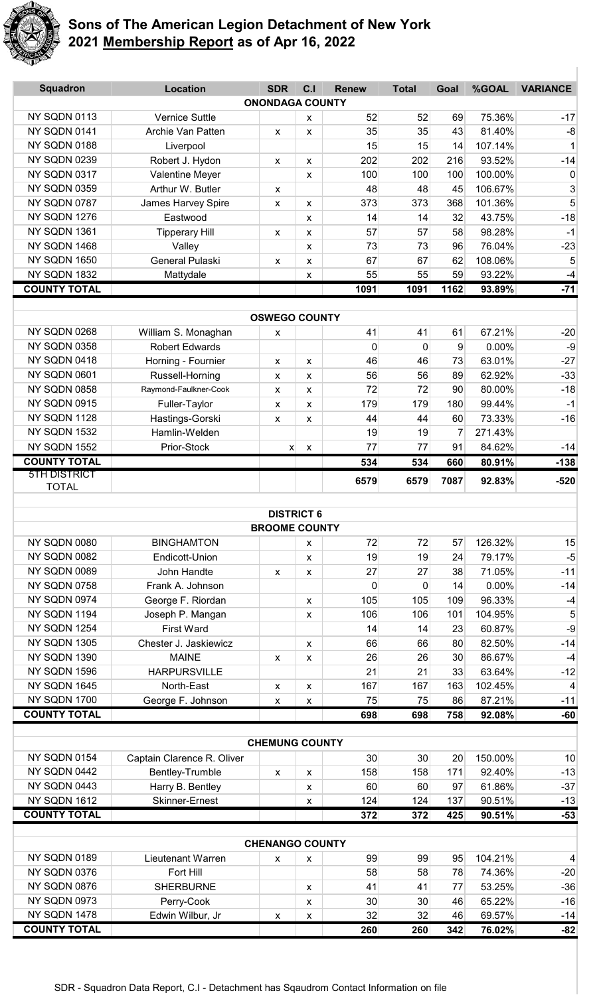

| <b>Squadron</b>              | <b>Location</b>            | <b>SDR</b><br><b>ONONDAGA COUNTY</b> | C <sub>1</sub> | <b>Renew</b> | <b>Total</b> | Goal | %GOAL   | <b>VARIANCE</b> |
|------------------------------|----------------------------|--------------------------------------|----------------|--------------|--------------|------|---------|-----------------|
| NY SQDN 0113                 | <b>Vernice Suttle</b>      |                                      |                | 52           | 52           | 69   | 75.36%  | $-17$           |
| NY SQDN 0141                 | Archie Van Patten          | X                                    | X<br>X         | 35           | 35           | 43   | 81.40%  | -8              |
| NY SQDN 0188                 | Liverpool                  |                                      |                | 15           | 15           | 14   | 107.14% | $\mathbf 1$     |
| NY SQDN 0239                 | Robert J. Hydon            | X                                    | x              | 202          | 202          | 216  | 93.52%  | $-14$           |
| NY SQDN 0317                 | Valentine Meyer            |                                      | X              | 100          | 100          | 100  | 100.00% | $\mathbf 0$     |
| NY SQDN 0359                 | Arthur W. Butler           | X                                    |                | 48           | 48           | 45   | 106.67% | 3               |
| NY SQDN 0787                 | James Harvey Spire         | X                                    | x              | 373          | 373          | 368  | 101.36% | 5               |
| NY SQDN 1276                 | Eastwood                   |                                      | X              | 14           | 14           | 32   | 43.75%  | $-18$           |
| NY SQDN 1361                 | <b>Tipperary Hill</b>      | X                                    | X              | 57           | 57           | 58   | 98.28%  | $-1$            |
| NY SQDN 1468                 | Valley                     |                                      | X              | 73           | 73           | 96   | 76.04%  | $-23$           |
| NY SQDN 1650                 | General Pulaski            | X                                    | X              | 67           | 67           | 62   | 108.06% | 5               |
| NY SQDN 1832                 | Mattydale                  |                                      | X              | 55           | 55           | 59   | 93.22%  | $-4$            |
| <b>COUNTY TOTAL</b>          |                            |                                      |                | 1091         | 1091         | 1162 | 93.89%  | $-71$           |
|                              |                            |                                      |                |              |              |      |         |                 |
|                              |                            | <b>OSWEGO COUNTY</b>                 |                |              |              |      |         |                 |
| NY SQDN 0268                 | William S. Monaghan        | X                                    |                | 41           | 41           | 61   | 67.21%  | $-20$           |
| NY SQDN 0358                 | <b>Robert Edwards</b>      |                                      |                | $\mathbf{0}$ | $\mathbf{0}$ | 9    | 0.00%   | $-9$            |
| NY SQDN 0418                 | Horning - Fournier         | X                                    | X              | 46           | 46           | 73   | 63.01%  | $-27$           |
| NY SQDN 0601                 | Russell-Horning            | X                                    | X              | 56           | 56           | 89   | 62.92%  | $-33$           |
| NY SQDN 0858                 | Raymond-Faulkner-Cook      | X                                    | X              | 72           | 72           | 90   | 80.00%  | $-18$           |
| NY SQDN 0915                 | Fuller-Taylor              | X                                    | X              | 179          | 179          | 180  | 99.44%  | $-1$            |
| NY SQDN 1128                 | Hastings-Gorski            | X                                    | X              | 44           | 44           | 60   | 73.33%  | $-16$           |
| NY SQDN 1532                 | Hamlin-Welden              |                                      |                | 19           | 19           | 7    | 271.43% |                 |
| NY SQDN 1552                 | Prior-Stock                | $\boldsymbol{\mathsf{x}}$            | X              | 77           | 77           | 91   | 84.62%  | $-14$           |
| <b>COUNTY TOTAL</b>          |                            |                                      |                | 534          | 534          | 660  | 80.91%  | $-138$          |
| <b>5TH DISTRICT</b>          |                            |                                      |                | 6579         | 6579         | 7087 | 92.83%  | $-520$          |
| <b>TOTAL</b>                 |                            |                                      |                |              |              |      |         |                 |
|                              |                            | <b>DISTRICT 6</b>                    |                |              |              |      |         |                 |
|                              |                            | <b>BROOME COUNTY</b>                 |                |              |              |      |         |                 |
| NY SQDN 0080                 | <b>BINGHAMTON</b>          |                                      | X              | 72           | 72           | 57   | 126.32% | 15              |
| NY SQDN 0082                 | Endicott-Union             |                                      | X              | 19           | 19           | 24   | 79.17%  | $-5$            |
| NY SQDN 0089                 | John Handte                | X                                    | X              | 27           | 27           | 38   | 71.05%  | $-11$           |
| NY SQDN 0758                 | Frank A. Johnson           |                                      |                | $\mathbf 0$  | 0            | 14   | 0.00%   | $-14$           |
| NY SQDN 0974                 | George F. Riordan          |                                      | X              | 105          | 105          | 109  | 96.33%  | $-4$            |
| NY SQDN 1194                 | Joseph P. Mangan           |                                      | X              | 106          | 106          | 101  | 104.95% | 5               |
| NY SQDN 1254                 | <b>First Ward</b>          |                                      |                | 14           | 14           | 23   | 60.87%  | $-9$            |
| NY SQDN 1305                 | Chester J. Jaskiewicz      |                                      | X              | 66           | 66           | 80   | 82.50%  | $-14$           |
| NY SQDN 1390                 | <b>MAINE</b>               | $\pmb{\chi}$                         | X              | 26           | 26           | 30   | 86.67%  | $-4$            |
| NY SQDN 1596                 | <b>HARPURSVILLE</b>        |                                      |                | 21           | 21           | 33   | 63.64%  | $-12$           |
| NY SQDN 1645                 | North-East                 | X                                    | X              | 167          | 167          | 163  | 102.45% | 4               |
| NY SQDN 1700                 | George F. Johnson          | X                                    | X              | 75           | 75           | 86   | 87.21%  | $-11$           |
| <b>COUNTY TOTAL</b>          |                            |                                      |                | 698          | 698          | 758  | 92.08%  | $-60$           |
|                              |                            |                                      |                |              |              |      |         |                 |
|                              |                            | <b>CHEMUNG COUNTY</b>                |                |              |              |      |         |                 |
| NY SQDN 0154                 | Captain Clarence R. Oliver |                                      |                | 30           | 30           | 20   | 150.00% | 10              |
| NY SQDN 0442                 | Bentley-Trumble            | X                                    | X              | 158          | 158          | 171  | 92.40%  | $-13$           |
| NY SQDN 0443                 | Harry B. Bentley           |                                      | X              | 60           | 60           | 97   | 61.86%  | $-37$           |
| NY SQDN 1612                 | <b>Skinner-Ernest</b>      |                                      | X              | 124          | 124          | 137  | 90.51%  | $-13$           |
| <b>COUNTY TOTAL</b>          |                            |                                      |                | 372          | 372          | 425  | 90.51%  | $-53$           |
|                              |                            |                                      |                |              |              |      |         |                 |
|                              |                            | <b>CHENANGO COUNTY</b>               |                |              |              |      |         |                 |
| NY SQDN 0189                 | Lieutenant Warren          | X                                    | X              | 99           | 99           | 95   | 104.21% | $\overline{4}$  |
| NY SQDN 0376                 | Fort Hill                  |                                      |                | 58           | 58           | 78   | 74.36%  | $-20$           |
| NY SQDN 0876                 | <b>SHERBURNE</b>           |                                      | X              | 41           | 41           | 77   | 53.25%  | $-36$           |
| NY SQDN 0973<br>NY SQDN 1478 | Perry-Cook                 |                                      | X              | 30           | 30           | 46   | 65.22%  | $-16$           |
| <b>COUNTY TOTAL</b>          | Edwin Wilbur, Jr           | X                                    | X              | 32           | 32           | 46   | 69.57%  | $-14$<br>$-82$  |
|                              |                            |                                      |                | 260          | 260          | 342  | 76.02%  |                 |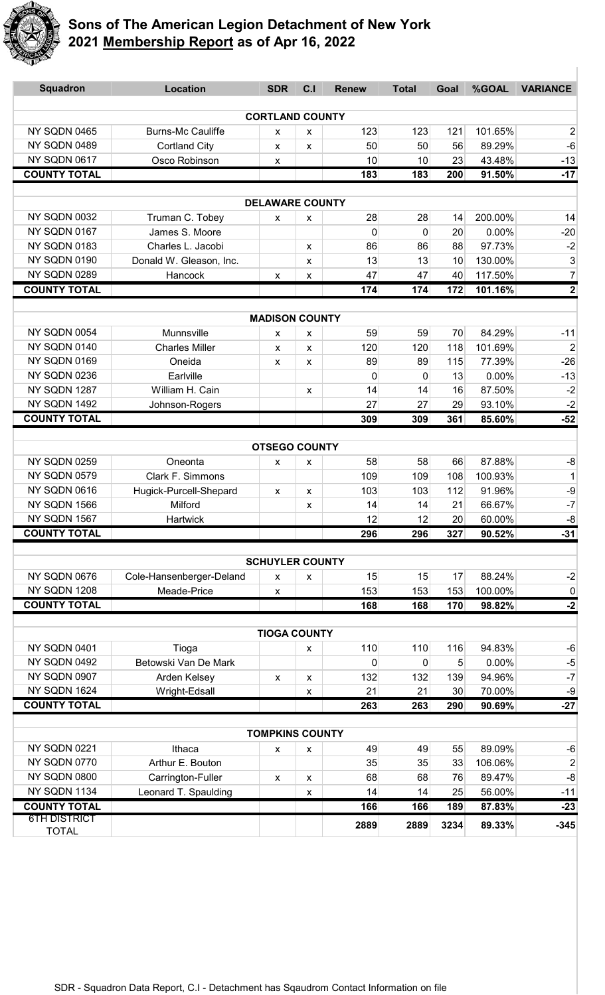

| <b>Squadron</b>              | <b>Location</b>                           | <b>SDR</b>             | C.I                | <b>Renew</b> | <b>Total</b> | Goal     | %GOAL             | <b>VARIANCE</b>               |
|------------------------------|-------------------------------------------|------------------------|--------------------|--------------|--------------|----------|-------------------|-------------------------------|
|                              |                                           | <b>CORTLAND COUNTY</b> |                    |              |              |          |                   |                               |
| NY SQDN 0465                 | <b>Burns-Mc Cauliffe</b>                  | X                      | X                  | 123          | 123          | 121      | 101.65%           | $\overline{2}$                |
| NY SQDN 0489                 | <b>Cortland City</b>                      | X                      | X                  | 50           | 50           | 56       | 89.29%            | $-6$                          |
| NY SQDN 0617                 | Osco Robinson                             | x                      |                    | 10           | 10           | 23       | 43.48%            | $-13$                         |
| <b>COUNTY TOTAL</b>          |                                           |                        |                    | 183          | 183          | 200      | 91.50%            | $-17$                         |
|                              |                                           |                        |                    |              |              |          |                   |                               |
|                              |                                           | <b>DELAWARE COUNTY</b> |                    |              |              |          |                   |                               |
| NY SQDN 0032                 | Truman C. Tobey                           | X                      | x                  | 28           | 28           | 14       | 200.00%           | 14                            |
| NY SQDN 0167<br>NY SQDN 0183 | James S. Moore<br>Charles L. Jacobi       |                        |                    | 0<br>86      | 0<br>86      | 20<br>88 | 0.00%<br>97.73%   | $-20$                         |
| NY SQDN 0190                 | Donald W. Gleason, Inc.                   |                        | x                  | 13           | 13           | 10       | 130.00%           | $-2$<br>$\mathbf{3}$          |
| NY SQDN 0289                 | Hancock                                   |                        | X                  | 47           | 47           | 40       | 117.50%           | $\overline{7}$                |
| <b>COUNTY TOTAL</b>          |                                           | $\pmb{\mathsf{X}}$     | X                  | 174          | 174          | 172      | 101.16%           | $\mathbf 2$                   |
|                              |                                           |                        |                    |              |              |          |                   |                               |
|                              |                                           | <b>MADISON COUNTY</b>  |                    |              |              |          |                   |                               |
| NY SQDN 0054                 | Munnsville                                | X                      | X                  | 59           | 59           | 70       | 84.29%            | $-11$                         |
| NY SQDN 0140                 | <b>Charles Miller</b>                     | X                      | X                  | 120          | 120          | 118      | 101.69%           | $\overline{2}$                |
| NY SQDN 0169                 | Oneida                                    | x                      | x                  | 89           | 89           | 115      | 77.39%            | $-26$                         |
| NY SQDN 0236                 | Earlville                                 |                        |                    | $\mathbf{0}$ | 0            | 13       | 0.00%             | $-13$                         |
| NY SQDN 1287                 | William H. Cain                           |                        | X                  | 14           | 14           | 16       | 87.50%            | $-2$                          |
| NY SQDN 1492                 | Johnson-Rogers                            |                        |                    | 27           | 27           | 29       | 93.10%            | $-2$                          |
| <b>COUNTY TOTAL</b>          |                                           |                        |                    | 309          | 309          | 361      | 85.60%            | $-52$                         |
|                              |                                           | <b>OTSEGO COUNTY</b>   |                    |              |              |          |                   |                               |
| NY SQDN 0259                 | Oneonta                                   |                        |                    | 58           | 58           | 66       | 87.88%            | -8                            |
| NY SQDN 0579                 | Clark F. Simmons                          | x                      | х                  | 109          | 109          | 108      | 100.93%           | $\mathbf{1}$                  |
| NY SQDN 0616                 | Hugick-Purcell-Shepard                    | x                      | x                  | 103          | 103          | 112      | 91.96%            | $-9$                          |
| NY SQDN 1566                 | Milford                                   |                        | х                  | 14           | 14           | 21       | 66.67%            | $-7$                          |
| NY SQDN 1567                 | <b>Hartwick</b>                           |                        |                    | 12           | 12           | 20       | 60.00%            | $-8$                          |
| <b>COUNTY TOTAL</b>          |                                           |                        |                    | 296          | 296          | 327      | 90.52%            | $-31$                         |
|                              |                                           |                        |                    |              |              |          |                   |                               |
|                              |                                           | <b>SCHUYLER COUNTY</b> |                    |              |              |          |                   |                               |
| NY SQDN 0676                 | Cole-Hansenberger-Deland                  | x                      | x                  | 15           | 15           | 17       | 88.24%            | $-2$                          |
| NY SQDN 1208                 | Meade-Price                               | X                      |                    | 153          | 153          | 153      | 100.00%           | $\overline{0}$                |
| <b>COUNTY TOTAL</b>          |                                           |                        |                    | 168          | 168          | 170      | 98.82%            | $-2$                          |
|                              |                                           | <b>TIOGA COUNTY</b>    |                    |              |              |          |                   |                               |
| NY SQDN 0401                 | Tioga                                     |                        | x                  | 110          | 110          | 116      | 94.83%            | $-6$                          |
| NY SQDN 0492                 | Betowski Van De Mark                      |                        |                    | 0            | 0            | 5        | 0.00%             | $-5$                          |
| NY SQDN 0907                 | Arden Kelsey                              | X                      | x                  | 132          | 132          | 139      | 94.96%            | $\textnormal{-}7$             |
| NY SQDN 1624                 | Wright-Edsall                             |                        | $\pmb{\mathsf{X}}$ | 21           | 21           | 30       | 70.00%            | $-9$                          |
| <b>COUNTY TOTAL</b>          |                                           |                        |                    | 263          | 263          | 290      | 90.69%            | $-27$                         |
|                              |                                           |                        |                    |              |              |          |                   |                               |
| NY SQDN 0221                 |                                           | <b>TOMPKINS COUNTY</b> |                    |              |              |          |                   |                               |
| NY SQDN 0770                 | Ithaca<br>Arthur E. Bouton                | X                      | x                  | 49<br>35     | 49<br>35     | 55<br>33 | 89.09%<br>106.06% | -6                            |
| NY SQDN 0800                 |                                           |                        |                    | 68           | 68           | 76       | 89.47%            | $\overline{2}$<br>$\mbox{-}8$ |
| NY SQDN 1134                 | Carrington-Fuller<br>Leonard T. Spaulding | X                      | x                  | 14           | 14           | 25       | 56.00%            | $-11$                         |
| <b>COUNTY TOTAL</b>          |                                           |                        | $\pmb{\mathsf{X}}$ | 166          | 166          | 189      | 87.83%            | $-23$                         |
| <b>6TH DISTRICT</b>          |                                           |                        |                    |              |              |          |                   |                               |
| <b>TOTAL</b>                 |                                           |                        |                    | 2889         | 2889         | 3234     | 89.33%            | $-345$                        |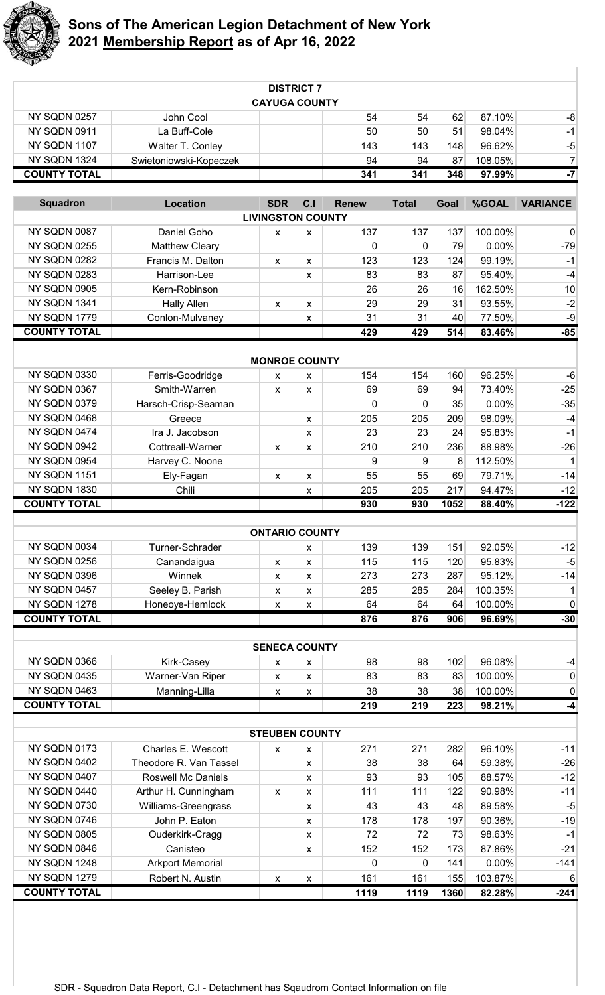

|                                     |                                     |                           | <b>DISTRICT 7</b>  |              |              |             |                   |                                   |
|-------------------------------------|-------------------------------------|---------------------------|--------------------|--------------|--------------|-------------|-------------------|-----------------------------------|
|                                     |                                     | <b>CAYUGA COUNTY</b>      |                    |              |              |             |                   |                                   |
| NY SQDN 0257                        | John Cool                           |                           |                    | 54           | 54           | 62          | 87.10%<br>98.04%  | -8                                |
| NY SQDN 0911<br>NY SQDN 1107        | La Buff-Cole                        |                           |                    | 50           | 50           | 51          |                   | $-1$                              |
| NY SQDN 1324                        | Walter T. Conley                    |                           |                    | 143<br>94    | 143          | 148         | 96.62%            | $-5$<br>$\overline{7}$            |
| <b>COUNTY TOTAL</b>                 | Swietoniowski-Kopeczek              |                           |                    | 341          | 94<br>341    | 87<br>348   | 108.05%<br>97.99% | $-7$                              |
|                                     |                                     |                           |                    |              |              |             |                   |                                   |
| <b>Squadron</b>                     | <b>Location</b>                     | <b>SDR</b>                | C.I                | <b>Renew</b> | <b>Total</b> | Goal        | %GOAL             | <b>VARIANCE</b>                   |
| NY SQDN 0087                        | Daniel Goho                         | <b>LIVINGSTON COUNTY</b>  |                    | 137          | 137          |             | 100.00%           |                                   |
| NY SQDN 0255                        |                                     | X                         | X                  |              |              | 137<br>79   | 0.00%             | $\pmb{0}$<br>$-79$                |
| NY SQDN 0282                        | Matthew Cleary<br>Francis M. Dalton |                           |                    | 0<br>123     | 0<br>123     | 124         | 99.19%            | $-1$                              |
| NY SQDN 0283                        | Harrison-Lee                        | $\pmb{\chi}$              | X<br>X             | 83           | 83           | 87          | 95.40%            | $-4$                              |
| NY SQDN 0905                        | Kern-Robinson                       |                           |                    | 26           | 26           | 16          | 162.50%           | 10                                |
| NY SQDN 1341                        | <b>Hally Allen</b>                  | X                         | $\pmb{\chi}$       | 29           | 29           | 31          | 93.55%            | $-2$                              |
| NY SQDN 1779                        | Conlon-Mulvaney                     |                           | X                  | 31           | 31           | 40          | 77.50%            | $-9$                              |
| <b>COUNTY TOTAL</b>                 |                                     |                           |                    | 429          | 429          | 514         | 83.46%            | $-85$                             |
|                                     |                                     |                           |                    |              |              |             |                   |                                   |
|                                     |                                     | <b>MONROE COUNTY</b>      |                    |              |              |             |                   |                                   |
| NY SQDN 0330                        | Ferris-Goodridge                    | X                         | X                  | 154          | 154          | 160         | 96.25%            | $-6$                              |
| NY SQDN 0367                        | Smith-Warren                        | X                         | X                  | 69           | 69           | 94          | 73.40%            | $-25$                             |
| NY SQDN 0379                        | Harsch-Crisp-Seaman                 |                           |                    | $\mathbf{0}$ | 0            | 35          | 0.00%             | $-35$                             |
| NY SQDN 0468                        | Greece                              |                           | X                  | 205          | 205          | 209         | 98.09%            | $-4$                              |
| NY SQDN 0474                        | Ira J. Jacobson                     |                           | $\pmb{\chi}$       | 23           | 23           | 24          | 95.83%            | $-1$                              |
| NY SQDN 0942                        | Cottreall-Warner                    | X                         | X                  | 210          | 210          | 236         | 88.98%            | $-26$                             |
| NY SQDN 0954                        | Harvey C. Noone                     |                           |                    | 9            | 9            | 8           | 112.50%           | $\mathbf{1}$                      |
| NY SQDN 1151                        | Ely-Fagan                           | X                         | $\pmb{\chi}$       | 55           | 55           | 69          | 79.71%            | $-14$                             |
| NY SQDN 1830<br><b>COUNTY TOTAL</b> | Chili                               |                           | X                  | 205<br>930   | 205<br>930   | 217<br>1052 | 94.47%<br>88.40%  | $-12$<br>$-122$                   |
|                                     |                                     |                           |                    |              |              |             |                   |                                   |
|                                     |                                     | <b>ONTARIO COUNTY</b>     |                    |              |              |             |                   |                                   |
| NY SQDN 0034                        | Turner-Schrader                     |                           | X                  | 139          | 139          | 151         | 92.05%            | $-12$                             |
| NY SQDN 0256                        | Canandaigua                         | X                         | $\pmb{\chi}$       | 115          | 115          | 120         | 95.83%            | $-5$                              |
| NY SQDN 0396                        | Winnek                              | X                         | $\pmb{\chi}$       | 273          | 273          | 287         | 95.12%            | $-14$                             |
| NY SQDN 0457                        | Seeley B. Parish                    | X                         | X                  | 285          | 285          | 284         | 100.35%           | $\mathbf{1}$                      |
| NY SQDN 1278                        | Honeoye-Hemlock                     | X                         | X                  | 64           | 64           | 64          | 100.00%           | $\pmb{0}$                         |
| <b>COUNTY TOTAL</b>                 |                                     |                           |                    | 876          | 876          | 906         | 96.69%            | $-30$                             |
|                                     |                                     |                           |                    |              |              |             |                   |                                   |
|                                     |                                     | <b>SENECA COUNTY</b>      |                    |              |              |             |                   |                                   |
| NY SQDN 0366                        | Kirk-Casey                          | X                         | X                  | 98           | 98           | 102         | 96.08%            | $-4$                              |
| NY SQDN 0435                        | Warner-Van Riper                    | X                         | X                  | 83           | 83           | 83          | 100.00%           | $\pmb{0}$                         |
| NY SQDN 0463<br><b>COUNTY TOTAL</b> | Manning-Lilla                       | X                         | X                  | 38           | 38           | 38          | 100.00%           | 0                                 |
|                                     |                                     |                           |                    | 219          | 219          | 223         | 98.21%            | $-4$                              |
|                                     |                                     | <b>STEUBEN COUNTY</b>     |                    |              |              |             |                   |                                   |
| NY SQDN 0173                        | Charles E. Wescott                  | X                         | X                  | 271          | 271          | 282         | 96.10%            | $-11$                             |
| NY SQDN 0402                        | Theodore R. Van Tassel              |                           | $\pmb{\chi}$       | 38           | 38           | 64          | 59.38%            | $-26$                             |
| NY SQDN 0407                        | <b>Roswell Mc Daniels</b>           |                           | $\pmb{\chi}$       | 93           | 93           | 105         | 88.57%            | $-12$                             |
| NY SQDN 0440                        | Arthur H. Cunningham                | $\boldsymbol{\mathsf{x}}$ | X                  | 111          | 111          | 122         | 90.98%            | $-11$                             |
| NY SQDN 0730                        | Williams-Greengrass                 |                           | $\pmb{\chi}$       | 43           | 43           | 48          | 89.58%            | $-5$                              |
|                                     |                                     |                           |                    |              |              |             |                   |                                   |
| NY SQDN 0746                        | John P. Eaton                       |                           | $\pmb{\chi}$       | 178          | 178          | 197         | 90.36%            | $-19$                             |
| NY SQDN 0805                        | Ouderkirk-Cragg                     |                           | $\pmb{\chi}$       | 72           | 72           | 73          | 98.63%            |                                   |
| NY SQDN 0846                        | Canisteo                            |                           | $\pmb{\chi}$       | 152          | 152          | 173         | 87.86%            |                                   |
| NY SQDN 1248                        | <b>Arkport Memorial</b>             |                           |                    | 0            | 0            | 141         | 0.00%             |                                   |
| NY SQDN 1279                        | Robert N. Austin                    | X                         | $\pmb{\mathsf{x}}$ | 161          | 161          | 155         | 103.87%           | 6                                 |
| <b>COUNTY TOTAL</b>                 |                                     |                           |                    | 1119         | 1119         | 1360        | 82.28%            | $-1$<br>$-21$<br>$-141$<br>$-241$ |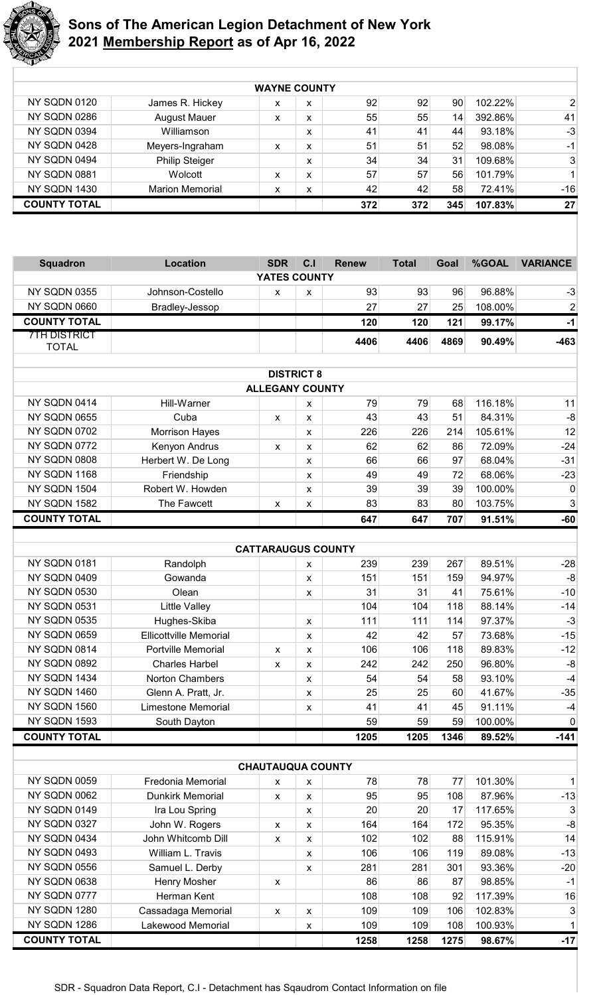

|                     | <b>WAYNE COUNTY</b>    |   |   |     |     |                 |         |                |  |  |
|---------------------|------------------------|---|---|-----|-----|-----------------|---------|----------------|--|--|
| <b>NY SQDN 0120</b> | James R. Hickey        | x | x | 92  | 92  | 90 <sup>°</sup> | 102.22% | $\overline{2}$ |  |  |
| <b>NY SQDN 0286</b> | <b>August Mauer</b>    | x | x | 55  | 55  | 14              | 392.86% | 41             |  |  |
| NY SQDN 0394        | Williamson             |   | x | 41  | 41  | 44              | 93.18%  | $-3$           |  |  |
| NY SQDN 0428        | Meyers-Ingraham        | x | x | 51  | 51  | 52              | 98.08%  | $-1$           |  |  |
| NY SQDN 0494        | <b>Philip Steiger</b>  |   | x | 34  | 34  | 31              | 109.68% | 3              |  |  |
| NY SQDN 0881        | Wolcott                | x | x | 57  | 57  | 56              | 101.79% | $\mathbf{1}$   |  |  |
| <b>NY SQDN 1430</b> | <b>Marion Memorial</b> | x | x | 42  | 42  | 58              | 72.41%  | $-16$          |  |  |
| <b>COUNTY TOTAL</b> |                        |   |   | 372 | 372 | 345             | 107.83% | 27             |  |  |

| <b>Squadron</b>     | <b>Location</b>                      | <b>SDR</b>                | C.I                       | <b>Renew</b> | <b>Total</b> | Goal      | %GOAL             | <b>VARIANCE</b> |
|---------------------|--------------------------------------|---------------------------|---------------------------|--------------|--------------|-----------|-------------------|-----------------|
|                     |                                      | YATES COUNTY              |                           |              |              |           |                   |                 |
| NY SQDN 0355        | Johnson-Costello                     | X                         | X                         | 93           | 93           | 96        | 96.88%            | $-3$            |
| NY SQDN 0660        | Bradley-Jessop                       |                           |                           | 27           | 27           | 25        | 108.00%           | $\overline{2}$  |
| <b>COUNTY TOTAL</b> |                                      |                           |                           | 120          | 120          | 121       | 99.17%            | $-1$            |
| <b>7TH DISTRICT</b> |                                      |                           |                           | 4406         | 4406         | 4869      | 90.49%            | $-463$          |
| <b>TOTAL</b>        |                                      |                           |                           |              |              |           |                   |                 |
|                     |                                      |                           |                           |              |              |           |                   |                 |
|                     |                                      | <b>ALLEGANY COUNTY</b>    | <b>DISTRICT 8</b>         |              |              |           |                   |                 |
| NY SQDN 0414        | Hill-Warner                          |                           |                           | 79           | 79           | 68        | 116.18%           | 11              |
| NY SQDN 0655        | Cuba                                 |                           | X                         | 43           | 43           | 51        | 84.31%            | $-8$            |
| <b>NY SQDN 0702</b> |                                      | x                         | X                         | 226          | 226          | 214       | 105.61%           | 12              |
| NY SQDN 0772        | <b>Morrison Hayes</b>                |                           | X                         | 62           | 62           | 86        | 72.09%            | $-24$           |
| NY SQDN 0808        | Kenyon Andrus                        | X                         | X                         |              |              |           |                   |                 |
|                     | Herbert W. De Long                   |                           | $\boldsymbol{\mathsf{x}}$ | 66           | 66           | 97        | 68.04%            | $-31$           |
| NY SQDN 1168        | Friendship                           |                           | X                         | 49           | 49           | 72        | 68.06%            | $-23$           |
| NY SQDN 1504        | Robert W. Howden                     |                           | X                         | 39           | 39           | 39        | 100.00%           | 0               |
| NY SQDN 1582        | The Fawcett                          | X                         | X                         | 83           | 83           | 80        | 103.75%           | $\mathbf{3}$    |
| <b>COUNTY TOTAL</b> |                                      |                           |                           | 647          | 647          | 707       | 91.51%            | $-60$           |
|                     |                                      |                           |                           |              |              |           |                   |                 |
|                     |                                      | <b>CATTARAUGUS COUNTY</b> |                           |              |              |           |                   |                 |
| NY SQDN 0181        | Randolph                             |                           | X                         | 239          | 239          | 267       | 89.51%            | $-28$           |
| NY SQDN 0409        | Gowanda                              |                           | X                         | 151          | 151          | 159       | 94.97%            | $-8$            |
| NY SQDN 0530        | Olean                                |                           | X                         | 31           | 31           | 41        | 75.61%            | $-10$           |
| NY SQDN 0531        | <b>Little Valley</b>                 |                           |                           | 104          | 104          | 118       | 88.14%            | $-14$           |
| NY SQDN 0535        | Hughes-Skiba                         |                           | X                         | 111          | 111          | 114       | 97.37%            | $-3$            |
| NY SQDN 0659        | <b>Ellicottville Memorial</b>        |                           | $\pmb{\chi}$              | 42           | 42           | 57        | 73.68%            | $-15$           |
| NY SQDN 0814        | Portville Memorial                   | X                         | $\pmb{\chi}$              | 106          | 106          | 118       | 89.83%            | $-12$           |
| NY SQDN 0892        | <b>Charles Harbel</b>                | x                         | $\pmb{\chi}$              | 242          | 242          | 250       | 96.80%            | $-8$            |
| NY SQDN 1434        | <b>Norton Chambers</b>               |                           | X                         | 54           | 54           | 58        | 93.10%            | $-4$            |
| NY SQDN 1460        | Glenn A. Pratt, Jr.                  |                           | X                         | 25           | 25           | 60        | 41.67%            | $-35$           |
| NY SQDN 1560        | <b>Limestone Memorial</b>            |                           | X                         | 41           | 41           | 45        | 91.11%            | $-4$            |
| NY SQDN 1593        | South Dayton                         |                           |                           | 59           | 59           | 59        | 100.00%           | $\overline{0}$  |
| <b>COUNTY TOTAL</b> |                                      |                           |                           | 1205         | 1205         | 1346      | 89.52%            | $-141$          |
|                     |                                      | <b>CHAUTAUQUA COUNTY</b>  |                           |              |              |           |                   |                 |
| NY SQDN 0059        | Fredonia Memorial                    |                           |                           | 78           | 78           | 77        | 101.30%           | $\mathbf{1}$    |
| NY SQDN 0062        | <b>Dunkirk Memorial</b>              | x                         | X                         | 95           | 95           | 108       | 87.96%            | $-13$           |
| NY SQDN 0149        | Ira Lou Spring                       | x                         | X                         | 20           | 20           | 17        | 117.65%           | 3               |
| NY SQDN 0327        |                                      |                           | X                         | 164          | 164          | 172       | 95.35%            | $-8$            |
| NY SQDN 0434        | John W. Rogers<br>John Whitcomb Dill | X                         | $\pmb{\chi}$              |              |              |           |                   | 14              |
| NY SQDN 0493        | William L. Travis                    | X                         | X                         | 102<br>106   | 102<br>106   | 88<br>119 | 115.91%<br>89.08% | $-13$           |
| NY SQDN 0556        |                                      |                           | X                         |              |              |           | 93.36%            | $-20$           |
| NY SQDN 0638        | Samuel L. Derby                      |                           | $\pmb{\chi}$              | 281          | 281          | 301       |                   |                 |
| NY SQDN 0777        | Henry Mosher                         | X                         |                           | 86           | 86           | 87        | 98.85%            | $-1$            |
| NY SQDN 1280        | Herman Kent                          |                           |                           | 108          | 108          | 92        | 117.39%           | 16              |
|                     | Cassadaga Memorial                   | X                         | $\pmb{\mathsf{x}}$        | 109          | 109          | 106       | 102.83%           | $\mathbf{3}$    |
| NY SQDN 1286        | Lakewood Memorial                    |                           | $\pmb{\mathsf{x}}$        | 109          | 109          | 108       | 100.93%           | $\mathbf{1}$    |

**COUNTY TOTAL**

**1258 1258 1275 98.67% -17**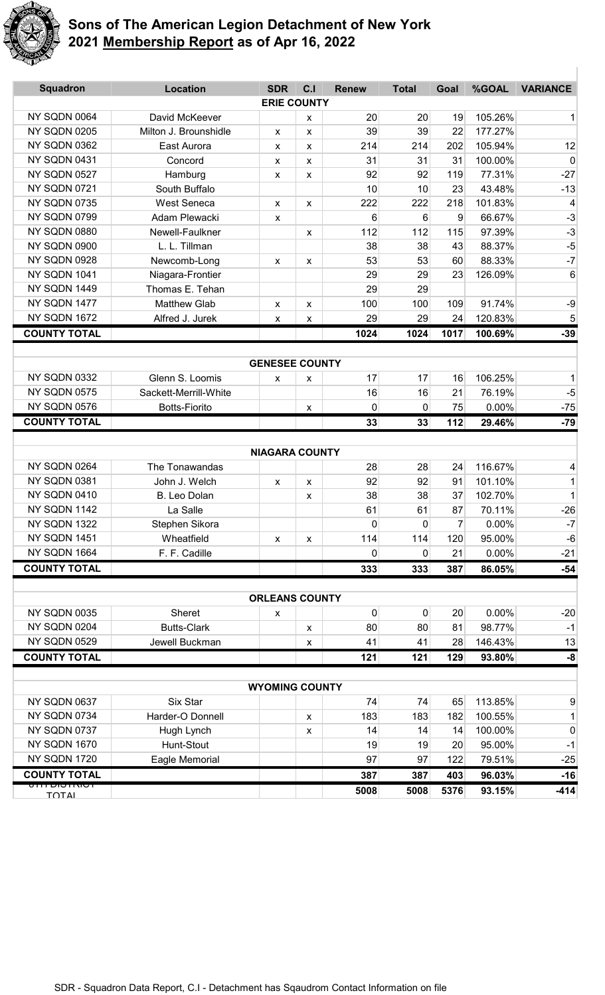

| <b>Squadron</b>               | <b>Location</b>              | <b>SDR</b>            | C <sub>1</sub> | <b>Renew</b>       | <b>Total</b>       | Goal    | %GOAL           | <b>VARIANCE</b>  |
|-------------------------------|------------------------------|-----------------------|----------------|--------------------|--------------------|---------|-----------------|------------------|
|                               |                              | <b>ERIE COUNTY</b>    |                |                    |                    |         |                 |                  |
| NY SQDN 0064                  | David McKeever               |                       | X              | 20                 | 20                 | 19      | 105.26%         | $\mathbf{1}$     |
| <b>NY SQDN 0205</b>           | Milton J. Brounshidle        | X                     | X              | 39                 | 39                 | 22      | 177.27%         |                  |
| NY SQDN 0362                  | East Aurora                  | X                     | X              | 214                | 214                | 202     | 105.94%         | 12               |
| NY SQDN 0431                  | Concord                      | x                     | X              | 31                 | 31                 | 31      | 100.00%         | $\boldsymbol{0}$ |
| NY SQDN 0527                  | Hamburg                      | X                     | X              | 92                 | 92                 | 119     | 77.31%          | $-27$            |
| NY SQDN 0721                  | South Buffalo                |                       |                | 10                 | 10                 | 23      | 43.48%          | $-13$            |
| NY SQDN 0735                  | <b>West Seneca</b>           | X                     | X              | 222                | 222                | 218     | 101.83%         | 4                |
| NY SQDN 0799                  | Adam Plewacki                | X                     |                | 6                  | 6                  | 9       | 66.67%          | $-3$             |
| NY SQDN 0880                  | Newell-Faulkner              |                       | X              | 112                | 112                | 115     | 97.39%          | $-3$             |
| NY SQDN 0900                  | L. L. Tillman                |                       |                | 38                 | 38                 | 43      | 88.37%          | $-5$             |
| NY SQDN 0928                  | Newcomb-Long                 | X                     | X              | 53                 | 53                 | 60      | 88.33%          | $-7$             |
| NY SQDN 1041                  | Niagara-Frontier             |                       |                | 29                 | 29                 | 23      | 126.09%         | 6                |
| NY SQDN 1449                  | Thomas E. Tehan              |                       |                | 29                 | 29                 |         |                 |                  |
| NY SQDN 1477                  | <b>Matthew Glab</b>          | $\mathsf{x}$          | X              | 100                | 100                | 109     | 91.74%          | -9               |
| NY SQDN 1672                  | Alfred J. Jurek              | X                     | X              | 29                 | 29                 | 24      | 120.83%         | $\sqrt{5}$       |
| <b>COUNTY TOTAL</b>           |                              |                       |                | 1024               | 1024               | 1017    | 100.69%         | $-39$            |
|                               |                              |                       |                |                    |                    |         |                 |                  |
|                               |                              | <b>GENESEE COUNTY</b> |                |                    |                    |         |                 |                  |
| NY SQDN 0332                  | Glenn S. Loomis              | X                     | x              | 17                 | 17                 | 16      | 106.25%         | 1                |
| <b>NY SQDN 0575</b>           | Sackett-Merrill-White        |                       |                | 16                 | 16                 | 21      | 76.19%          | $-5$             |
| NY SQDN 0576                  | <b>Botts-Fiorito</b>         |                       | X              | $\mathbf 0$        | 0                  | 75      | 0.00%           | $-75$            |
| <b>COUNTY TOTAL</b>           |                              |                       |                | 33                 | 33                 | $112$   | 29.46%          | $-79$            |
|                               |                              |                       |                |                    |                    |         |                 |                  |
| NY SQDN 0264                  |                              | <b>NIAGARA COUNTY</b> |                |                    |                    |         | 116.67%         |                  |
|                               | The Tonawandas               |                       |                | 28                 | 28                 | 24      |                 | 4                |
| NY SQDN 0381<br>NY SQDN 0410  | John J. Welch                | X                     | X              | 92                 | 92                 | 91      | 101.10%         | 1                |
| NY SQDN 1142                  | B. Leo Dolan                 |                       | X              | 38                 | 38                 | 37      | 102.70%         | $\mathbf 1$      |
| NY SQDN 1322                  | La Salle                     |                       |                | 61<br>$\mathbf{0}$ | 61<br>$\mathbf{0}$ | 87<br>7 | 70.11%<br>0.00% | -26<br>$-7$      |
| NY SQDN 1451                  | Stephen Sikora<br>Wheatfield |                       |                |                    | 114                |         | 95.00%          |                  |
| NY SQDN 1664                  |                              | $\pmb{\mathsf{X}}$    | X              | 114                |                    | 120     |                 | $-6$             |
| <b>COUNTY TOTAL</b>           | F. F. Cadille                |                       |                | 0                  | $\Omega$           | 21      | 0.00%           | $-21$            |
|                               |                              |                       |                | 333                | 333                | 387     | 86.05%          | $-54$            |
|                               |                              | <b>ORLEANS COUNTY</b> |                |                    |                    |         |                 |                  |
| NY SQDN 0035                  | Sheret                       | X                     |                | 0                  | 0                  | 20      | 0.00%           | $-20$            |
| NY SQDN 0204                  | <b>Butts-Clark</b>           |                       | X              | 80                 | 80                 | 81      | 98.77%          | $-1$             |
| NY SQDN 0529                  | Jewell Buckman               |                       | X              | 41                 | 41                 | 28      | 146.43%         | 13               |
| <b>COUNTY TOTAL</b>           |                              |                       |                | 121                | 121                | 129     | 93.80%          | $-8$             |
|                               |                              |                       |                |                    |                    |         |                 |                  |
|                               |                              | <b>WYOMING COUNTY</b> |                |                    |                    |         |                 |                  |
| NY SQDN 0637                  | Six Star                     |                       |                | 74                 | 74                 | 65      | 113.85%         | 9                |
| NY SQDN 0734                  | Harder-O Donnell             |                       | X              | 183                | 183                | 182     | 100.55%         | 1                |
| NY SQDN 0737                  | Hugh Lynch                   |                       | X              | 14                 | 14                 | 14      | 100.00%         | 0                |
| NY SQDN 1670                  | Hunt-Stout                   |                       |                | 19                 | 19                 | 20      | 95.00%          | $-1$             |
| NY SQDN 1720                  | Eagle Memorial               |                       |                | 97                 | 97                 | 122     | 79.51%          | $-25$            |
| <b>COUNTY TOTAL</b>           |                              |                       |                | 387                | 387                | 403     | 96.03%          | $-16$            |
| יסוחיסוש וווס<br><b>TOTAL</b> |                              |                       |                | 5008               | 5008               | 5376    | 93.15%          | $-414$           |
|                               |                              |                       |                |                    |                    |         |                 |                  |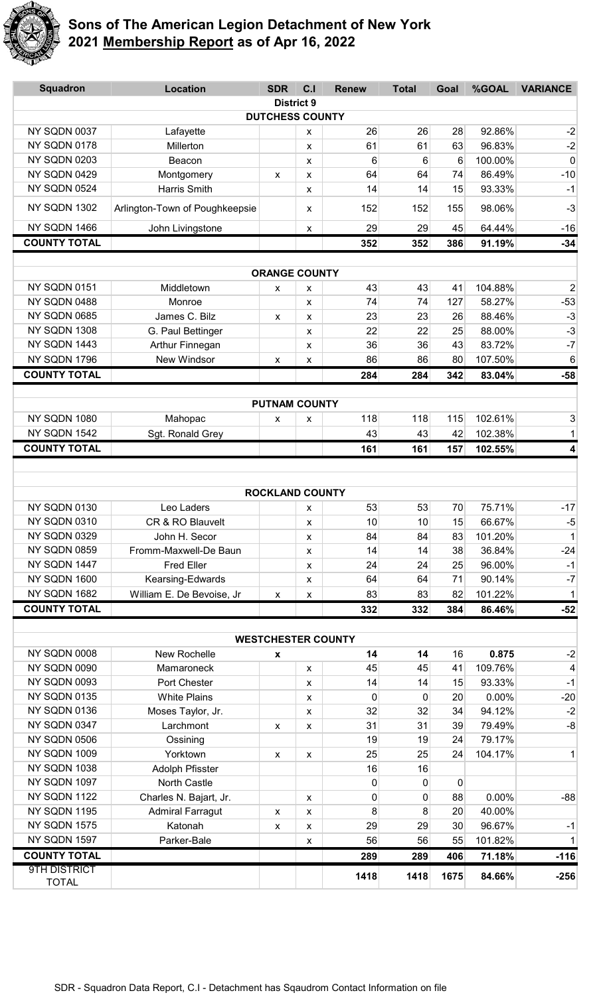

| <b>Squadron</b>              | <b>Location</b>                        | <b>SDR</b>                | C.I                | <b>Renew</b> | <b>Total</b> | Goal    | %GOAL   | <b>VARIANCE</b>         |  |  |
|------------------------------|----------------------------------------|---------------------------|--------------------|--------------|--------------|---------|---------|-------------------------|--|--|
| <b>District 9</b>            |                                        |                           |                    |              |              |         |         |                         |  |  |
|                              |                                        | <b>DUTCHESS COUNTY</b>    |                    |              |              |         |         |                         |  |  |
| NY SQDN 0037                 | Lafayette                              |                           | X                  | 26           | 26           | 28      | 92.86%  | $-2$                    |  |  |
| NY SQDN 0178                 | Millerton                              |                           | X                  | 61           | 61           | 63      | 96.83%  | $-2$                    |  |  |
| NY SQDN 0203                 | Beacon                                 |                           | $\pmb{\chi}$       | 6            | 6            | 6       | 100.00% | 0                       |  |  |
| NY SQDN 0429                 | Montgomery                             | X                         | X                  | 64           | 64           | 74      | 86.49%  | $-10$                   |  |  |
| NY SQDN 0524                 | <b>Harris Smith</b>                    |                           | X                  | 14           | 14           | 15      | 93.33%  | $-1$                    |  |  |
| NY SQDN 1302                 | Arlington-Town of Poughkeepsie         |                           | X                  | 152          | 152          | 155     | 98.06%  | $-3$                    |  |  |
| NY SQDN 1466                 | John Livingstone                       |                           | X                  | 29           | 29           | 45      | 64.44%  | $-16$                   |  |  |
| <b>COUNTY TOTAL</b>          |                                        |                           |                    | 352          | 352          | 386     | 91.19%  | $-34$                   |  |  |
|                              |                                        |                           |                    |              |              |         |         |                         |  |  |
|                              |                                        | <b>ORANGE COUNTY</b>      |                    |              |              |         |         |                         |  |  |
| NY SQDN 0151                 | Middletown                             | X                         | X                  | 43           | 43           | 41      | 104.88% | $\overline{2}$          |  |  |
| NY SQDN 0488                 | Monroe                                 |                           | X                  | 74           | 74           | 127     | 58.27%  | $-53$                   |  |  |
| NY SQDN 0685                 | James C. Bilz                          | $\boldsymbol{\mathsf{x}}$ | X                  | 23           | 23           | 26      | 88.46%  | $-3$                    |  |  |
| NY SQDN 1308                 | G. Paul Bettinger                      |                           | X                  | 22           | 22           | 25      | 88.00%  | $-3$                    |  |  |
| NY SQDN 1443                 | Arthur Finnegan                        |                           | X                  | 36           | 36           | 43      | 83.72%  | $-7$                    |  |  |
| NY SQDN 1796                 | New Windsor                            | X                         | X                  | 86           | 86           | 80      | 107.50% | 6                       |  |  |
| <b>COUNTY TOTAL</b>          |                                        |                           |                    | 284          | 284          | 342     | 83.04%  | $-58$                   |  |  |
|                              |                                        |                           |                    |              |              |         |         |                         |  |  |
|                              |                                        | <b>PUTNAM COUNTY</b>      |                    |              |              |         |         |                         |  |  |
| NY SQDN 1080                 | Mahopac                                | x                         | X                  | 118          | 118          | 115     | 102.61% | 3                       |  |  |
| NY SQDN 1542                 | Sgt. Ronald Grey                       |                           |                    | 43           | 43           | 42      | 102.38% | $\mathbf{1}$            |  |  |
| <b>COUNTY TOTAL</b>          |                                        |                           |                    | 161          | 161          | 157     | 102.55% | $\overline{\mathbf{4}}$ |  |  |
|                              |                                        |                           |                    |              |              |         |         |                         |  |  |
|                              |                                        |                           |                    |              |              |         |         |                         |  |  |
|                              |                                        | <b>ROCKLAND COUNTY</b>    |                    |              |              |         |         |                         |  |  |
| NY SQDN 0130                 | Leo Laders                             |                           | X                  | 53           | 53           | 70      | 75.71%  | $-17$                   |  |  |
| NY SQDN 0310                 | CR & RO Blauvelt                       |                           | $\pmb{\mathsf{x}}$ | 10           | 10           | 15      | 66.67%  | $-5$                    |  |  |
| NY SQDN 0329                 | John H. Secor                          |                           | X                  | 84           | 84           | 83      | 101.20% | $\mathbf{1}$            |  |  |
| NY SQDN 0859                 | Fromm-Maxwell-De Baun                  |                           | X                  | 14           | 14           | 38      | 36.84%  | $-24$                   |  |  |
| NY SQDN 1447                 | <b>Fred Eller</b>                      |                           | $\pmb{\chi}$       | 24           | 24           | 25      | 96.00%  | $-1$                    |  |  |
| NY SQDN 1600                 | Kearsing-Edwards                       |                           | X                  | 64           | 64           | 71      | 90.14%  | $-7$                    |  |  |
| NY SQDN 1682                 | William E. De Bevoise, Jr              | $\pmb{\mathsf{X}}$        | $\pmb{\mathsf{X}}$ | 83           | 83           | 82      | 101.22% | $\mathbf{1}$            |  |  |
| <b>COUNTY TOTAL</b>          |                                        |                           |                    | 332          | 332          | 384     | 86.46%  | $-52$                   |  |  |
|                              |                                        |                           |                    |              |              |         |         |                         |  |  |
|                              |                                        | <b>WESTCHESTER COUNTY</b> |                    |              |              |         |         |                         |  |  |
| NY SQDN 0008                 | New Rochelle                           | x                         |                    | 14           | 14           | 16      | 0.875   | $-2$                    |  |  |
| NY SQDN 0090                 | Mamaroneck                             |                           | X                  | 45           | 45           | 41      | 109.76% | $\overline{4}$          |  |  |
| NY SQDN 0093                 | Port Chester                           |                           | X                  | 14           | 14           | 15      | 93.33%  | $-1$                    |  |  |
| NY SQDN 0135                 | <b>White Plains</b>                    |                           | X                  | 0            | 0            | 20      | 0.00%   | $-20$                   |  |  |
| NY SQDN 0136                 | Moses Taylor, Jr.                      |                           | X                  | 32           | 32           | 34      | 94.12%  | $-2$                    |  |  |
| NY SQDN 0347                 | Larchmont                              | $\pmb{\chi}$              | X                  | 31           | 31           | 39      | 79.49%  | $-8$                    |  |  |
| NY SQDN 0506                 | Ossining                               |                           |                    | 19           | 19           | 24      | 79.17%  |                         |  |  |
| NY SQDN 1009                 | Yorktown                               | $\mathsf{x}$              | X                  | 25           | 25           | 24      | 104.17% | $\mathbf{1}$            |  |  |
| NY SQDN 1038<br>NY SQDN 1097 | Adolph Pfisster                        |                           |                    | 16           | 16           |         |         |                         |  |  |
| NY SQDN 1122                 | North Castle<br>Charles N. Bajart, Jr. |                           |                    | 0<br>0       | 0<br>0       | 0<br>88 | 0.00%   | $-88$                   |  |  |
| NY SQDN 1195                 | <b>Admiral Farragut</b>                |                           | X                  | 8            | 8            | 20      | 40.00%  |                         |  |  |
| NY SQDN 1575                 | Katonah                                | x                         | X<br>$\pmb{\chi}$  | 29           | 29           | 30      | 96.67%  | $-1$                    |  |  |
| NY SQDN 1597                 |                                        | x                         |                    |              |              |         | 101.82% | $\mathbf{1}$            |  |  |
| <b>COUNTY TOTAL</b>          | Parker-Bale<br>56<br>55<br>56<br>X     |                           |                    |              | 71.18%       | $-116$  |         |                         |  |  |
| <b>9TH DISTRICT</b>          |                                        |                           |                    | 289          | 289          | 406     |         |                         |  |  |
| <b>TOTAL</b>                 |                                        |                           |                    | 1418         | 1418         | 1675    | 84.66%  | $-256$                  |  |  |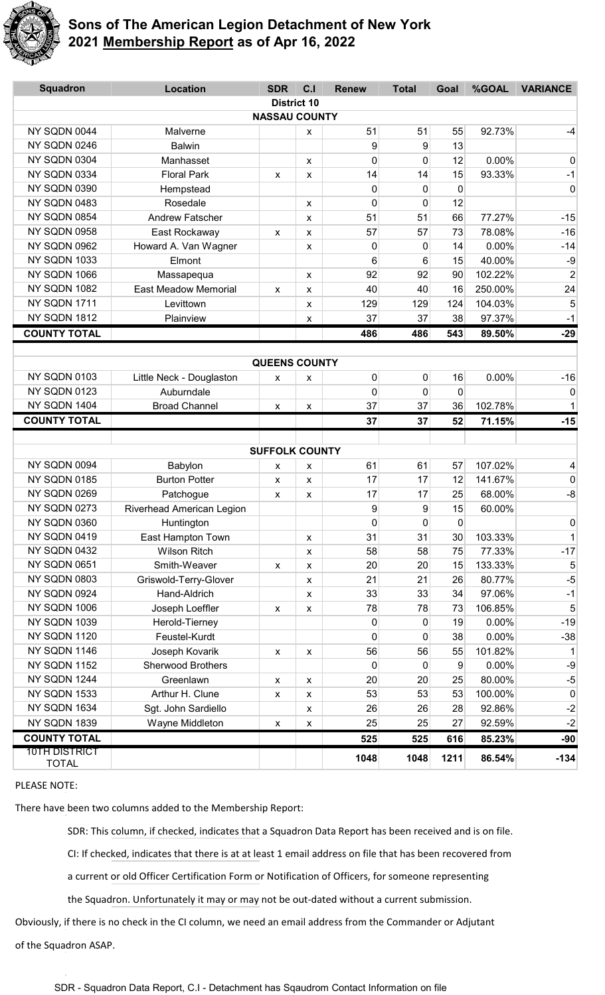

| <b>Squadron</b>                      | <b>Location</b>             | <b>SDR</b>            | C <sub>1</sub> | <b>Renew</b> | <b>Total</b> | Goal        | %GOAL    | <b>VARIANCE</b>       |  |
|--------------------------------------|-----------------------------|-----------------------|----------------|--------------|--------------|-------------|----------|-----------------------|--|
| <b>District 10</b>                   |                             |                       |                |              |              |             |          |                       |  |
| <b>NASSAU COUNTY</b>                 |                             |                       |                |              |              |             |          |                       |  |
| NY SQDN 0044                         | Malverne                    |                       | x              | 51           | 51           | 55          | 92.73%   | $-4$                  |  |
| NY SQDN 0246                         | <b>Balwin</b>               |                       |                | 9            | 9            | 13          |          |                       |  |
| NY SQDN 0304                         | Manhasset                   |                       | X              | 0            | $\mathbf 0$  | 12          | 0.00%    | $\mathbf 0$           |  |
| NY SQDN 0334                         | <b>Floral Park</b>          | X                     | X              | 14           | 14           | 15          | 93.33%   | $-1$                  |  |
| NY SQDN 0390                         | Hempstead                   |                       |                | 0            | 0            | $\mathbf 0$ |          | 0                     |  |
| NY SQDN 0483                         | Rosedale                    |                       | x              | 0            | $\mathbf 0$  | 12          |          |                       |  |
| NY SQDN 0854                         | <b>Andrew Fatscher</b>      |                       | X              | 51           | 51           | 66          | 77.27%   | $-15$                 |  |
| NY SQDN 0958                         | East Rockaway               | x                     | X              | 57           | 57           | 73          | 78.08%   | $-16$                 |  |
| NY SQDN 0962                         | Howard A. Van Wagner        |                       | x              | 0            | 0            | 14          | 0.00%    | $-14$                 |  |
| NY SQDN 1033                         | Elmont                      |                       |                | 6            | 6            | 15          | 40.00%   | $-9$                  |  |
| NY SQDN 1066                         | Massapequa                  |                       | X              | 92           | 92           | 90          | 102.22%  | $\overline{2}$        |  |
| NY SQDN 1082                         | <b>East Meadow Memorial</b> | X                     | X              | 40           | 40           | 16          | 250.00%  | 24                    |  |
| NY SQDN 1711                         | Levittown                   |                       | x              | 129          | 129          | 124         | 104.03%  | 5                     |  |
| NY SQDN 1812                         | Plainview                   |                       | x              | 37           | 37           | 38          | 97.37%   | $-1$                  |  |
| <b>COUNTY TOTAL</b>                  |                             |                       |                | 486          | 486          | 543         | 89.50%   | $-29$                 |  |
|                                      |                             |                       |                |              |              |             |          |                       |  |
|                                      |                             | <b>QUEENS COUNTY</b>  |                |              |              |             |          |                       |  |
| NY SQDN 0103                         | Little Neck - Douglaston    | X                     | X              | 0            | 0            | 16          | 0.00%    | $-16$                 |  |
| NY SQDN 0123                         | Auburndale                  |                       |                | 0            | 0            | 0           |          | 0                     |  |
| NY SQDN 1404                         | <b>Broad Channel</b>        | $\mathsf{x}$          | X              | 37           | 37           | 36          | 102.78%  | $\vert$               |  |
| <b>COUNTY TOTAL</b>                  |                             |                       |                | 37           | 37           | 52          | 71.15%   | $-15$                 |  |
|                                      |                             |                       |                |              |              |             |          |                       |  |
|                                      |                             | <b>SUFFOLK COUNTY</b> |                |              |              |             |          |                       |  |
| NY SQDN 0094                         | Babylon                     | x                     | x              | 61           | 61           | 57          | 107.02%  | 4                     |  |
| NY SQDN 0185                         | <b>Burton Potter</b>        | X                     | X              | 17           | 17           | 12          | 141.67%  | 0                     |  |
| NY SQDN 0269                         | Patchogue                   | X                     | x              | 17           | 17           | 25          | 68.00%   | $-8$                  |  |
| NY SQDN 0273                         | Riverhead American Legion   |                       |                | 9            | 9            | 15          | 60.00%   |                       |  |
| NY SQDN 0360                         | Huntington                  |                       |                | 0            | 0            | $\sigma$    |          | 0                     |  |
| NY SQDN 0419                         | East Hampton Town           |                       | X              | 31           | 31           | 30          | 103.33%  | 1                     |  |
| NY SQDN 0432                         | <b>Wilson Ritch</b>         |                       | X              | 58           | 58           | 75          | 77.33%   | $-17$                 |  |
| NY SQDN 0651                         | Smith-Weaver                | X                     | X              | 20           | 20           | 15          | 133.33%  | 5                     |  |
| NY SQDN 0803                         | Griswold-Terry-Glover       |                       | x              | 21           | 21           | 26          | 80.77%   | $-5$                  |  |
| NY SQDN 0924                         | Hand-Aldrich                |                       | X              | 33           | 33           | 34          | 97.06%   | $-1$                  |  |
| NY SQDN 1006                         | Joseph Loeffler             | X                     | x              | 78           | 78           | 73          | 106.85%  | 5                     |  |
| NY SQDN 1039                         | Herold-Tierney              |                       |                | 0            | 0            | 19          | 0.00%    | $-19$                 |  |
| NY SQDN 1120                         | Feustel-Kurdt               |                       |                | 0            | 0            | 38          | 0.00%    | $-38$                 |  |
| NY SQDN 1146                         | Joseph Kovarik              | $\pmb{\mathsf{X}}$    | X              | 56           | 56           | 55          | 101.82%  | 1                     |  |
| NY SQDN 1152                         | <b>Sherwood Brothers</b>    |                       |                | $\mathbf{0}$ | 0            | 9           | $0.00\%$ | $-9$                  |  |
| NY SQDN 1244                         | Greenlawn                   | X                     | X              | 20           | 20           | 25          | 80.00%   | $-5$                  |  |
|                                      |                             | X                     | x              | 53           | 53           | 53          | 100.00%  | 0                     |  |
| NY SQDN 1533                         | Arthur H. Clune             |                       |                |              |              |             |          |                       |  |
| NY SQDN 1634                         | Sgt. John Sardiello         |                       | X              | 26           | 26           | 28          | 92.86%   |                       |  |
| NY SQDN 1839                         | Wayne Middleton             | X                     | X              | 25           | 25           | 27          | 92.59%   |                       |  |
| <b>COUNTY TOTAL</b><br>10TH DISTRICT |                             |                       |                | 525          | 525          | 616         | 85.23%   | $-2$<br>$-2$<br>$-90$ |  |

#### PLEASE NOTE:

There have been two columns added to the Membership Report:

SDR: This column, if checked, indicates that a Squadron Data Report has been received and is on file.

CI: If checked, indicates that there is at at least 1 email address on file that has been recovered from

a current or old Officer Certification Form or Notification of Officers, for someone representing

the Squadron. Unfortunately it may or may not be out-dated without a current submission.

Obviously, if there is no check in the CI column, we need an email address from the Commander or Adjutant of the Squadron ASAP.

SDR - Squadron Data Report, C.I - Detachment has Sqaudrom Contact Information on file